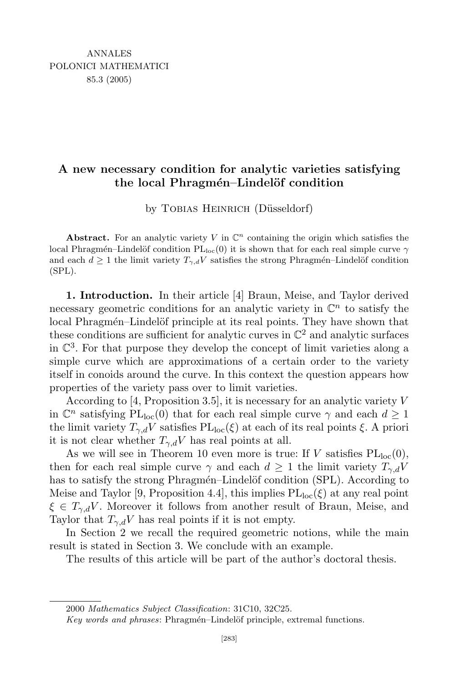## A new necessary condition for analytic varieties satisfying the local Phragmén–Lindelöf condition

by TOBIAS HEINRICH (Düsseldorf)

Abstract. For an analytic variety V in  $\mathbb{C}^n$  containing the origin which satisfies the local Phragmén–Lindelöf condition  $PL<sub>loc</sub>(0)$  it is shown that for each real simple curve  $\gamma$ and each  $d \geq 1$  the limit variety  $T_{\gamma,d}V$  satisfies the strong Phragmén–Lindelöf condition (SPL).

1. Introduction. In their article [4] Braun, Meise, and Taylor derived necessary geometric conditions for an analytic variety in  $\mathbb{C}^n$  to satisfy the local Phragmén–Lindelöf principle at its real points. They have shown that these conditions are sufficient for analytic curves in  $\mathbb{C}^2$  and analytic surfaces in  $\mathbb{C}^3$ . For that purpose they develop the concept of limit varieties along a simple curve which are approximations of a certain order to the variety itself in conoids around the curve. In this context the question appears how properties of the variety pass over to limit varieties.

According to [4, Proposition 3.5], it is necessary for an analytic variety  $V$ in  $\mathbb{C}^n$  satisfying  $PL<sub>loc</sub>(0)$  that for each real simple curve  $\gamma$  and each  $d \geq 1$ the limit variety  $T_{\gamma,d}V$  satisfies  $PL_{loc}(\xi)$  at each of its real points  $\xi$ . A priori it is not clear whether  $T_{\gamma,d}V$  has real points at all.

As we will see in Theorem 10 even more is true: If V satisfies  $PL<sub>loc</sub>(0)$ , then for each real simple curve  $\gamma$  and each  $d \geq 1$  the limit variety  $T_{\gamma,d}V$ has to satisfy the strong Phragmén–Lindelöf condition (SPL). According to Meise and Taylor [9, Proposition 4.4], this implies  $PL_{loc}(\xi)$  at any real point  $\xi \in T_{\gamma,d}V$ . Moreover it follows from another result of Braun, Meise, and Taylor that  $T_{\gamma,d}V$  has real points if it is not empty.

In Section 2 we recall the required geometric notions, while the main result is stated in Section 3. We conclude with an example.

The results of this article will be part of the author's doctoral thesis.

2000 Mathematics Subject Classification: 31C10, 32C25.

Key words and phrases: Phragmén–Lindelöf principle, extremal functions.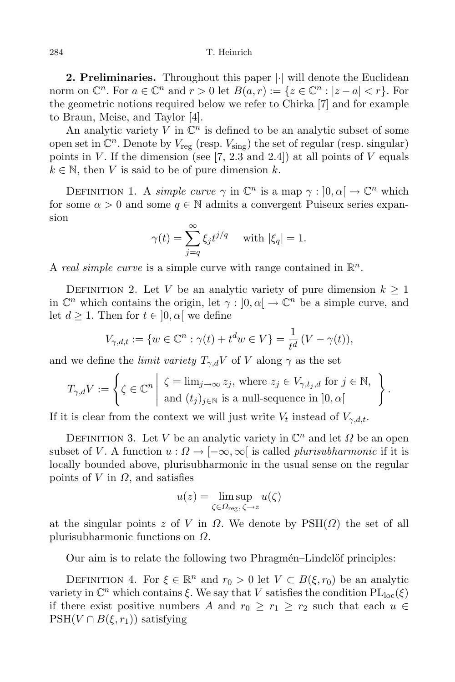## 284 T. Heinrich

2. Preliminaries. Throughout this paper  $|\cdot|$  will denote the Euclidean norm on  $\mathbb{C}^n$ . For  $a \in \mathbb{C}^n$  and  $r > 0$  let  $B(a, r) := \{z \in \mathbb{C}^n : |z - a| < r\}$ . For the geometric notions required below we refer to Chirka [7] and for example to Braun, Meise, and Taylor [4].

An analytic variety  $V$  in  $\mathbb{C}^n$  is defined to be an analytic subset of some open set in  $\mathbb{C}^n$ . Denote by  $V_{reg}$  (resp.  $V_{sing}$ ) the set of regular (resp. singular) points in V. If the dimension (see  $(7, 2.3 \text{ and } 2.4)$ ) at all points of V equals  $k \in \mathbb{N}$ , then V is said to be of pure dimension k.

DEFINITION 1. A simple curve  $\gamma$  in  $\mathbb{C}^n$  is a map  $\gamma : ]0, \alpha[ \rightarrow \mathbb{C}^n$  which for some  $\alpha > 0$  and some  $q \in \mathbb{N}$  admits a convergent Puiseux series expansion

$$
\gamma(t) = \sum_{j=q}^{\infty} \xi_j t^{j/q} \quad \text{ with } |\xi_q| = 1.
$$

A real simple curve is a simple curve with range contained in  $\mathbb{R}^n$ .

DEFINITION 2. Let V be an analytic variety of pure dimension  $k \geq 1$ in  $\mathbb{C}^n$  which contains the origin, let  $\gamma : ]0, \alpha[ \to \mathbb{C}^n$  be a simple curve, and let  $d \geq 1$ . Then for  $t \in [0, \alpha]$  we define

$$
V_{\gamma, d, t} := \{ w \in \mathbb{C}^n : \gamma(t) + t^d w \in V \} = \frac{1}{t^d} (V - \gamma(t)),
$$

and we define the *limit variety*  $T_{\gamma,d}V$  of V along  $\gamma$  as the set

$$
T_{\gamma,d}V := \left\{ \zeta \in \mathbb{C}^n \middle| \begin{array}{l} \zeta = \lim_{j \to \infty} z_j, \text{ where } z_j \in V_{\gamma,t_j,d} \text{ for } j \in \mathbb{N}, \\ \text{and } (t_j)_{j \in \mathbb{N}} \text{ is a null-sequence in } ]0,\alpha[ \end{array} \right\}.
$$

If it is clear from the context we will just write  $V_t$  instead of  $V_{\gamma,d,t}$ .

DEFINITION 3. Let V be an analytic variety in  $\mathbb{C}^n$  and let  $\Omega$  be an open subset of V. A function  $u : \Omega \to [-\infty, \infty]$  is called *plurisubharmonic* if it is locally bounded above, plurisubharmonic in the usual sense on the regular points of V in  $\Omega$ , and satisfies

$$
u(z) = \limsup_{\zeta \in \Omega_{\text{reg}}, \zeta \to z} u(\zeta)
$$

at the singular points z of V in  $\Omega$ . We denote by  $PSH(\Omega)$  the set of all plurisubharmonic functions on Ω.

Our aim is to relate the following two Phragmén–Lindelöf principles:

DEFINITION 4. For  $\xi \in \mathbb{R}^n$  and  $r_0 > 0$  let  $V \subset B(\xi, r_0)$  be an analytic variety in  $\mathbb{C}^n$  which contains  $\xi$ . We say that V satisfies the condition  $\text{PL}_{\text{loc}}(\xi)$ if there exist positive numbers A and  $r_0 \geq r_1 \geq r_2$  such that each  $u \in$  $PSH(V \cap B(\xi, r_1))$  satisfying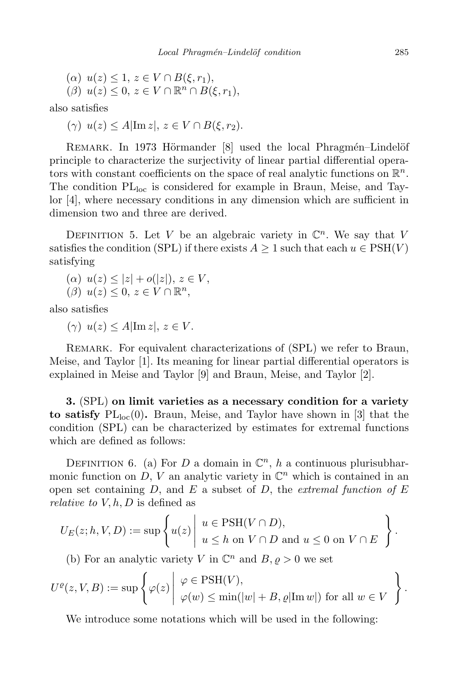$$
\begin{aligned} & (\alpha) \ u(z) \le 1, \ z \in V \cap B(\xi, r_1), \\ & (\beta) \ u(z) \le 0, \ z \in V \cap \mathbb{R}^n \cap B(\xi, r_1), \end{aligned}
$$

also satisfies

$$
(\gamma) \ u(z) \le A|\operatorname{Im} z|, \ z \in V \cap B(\xi, r_2).
$$

REMARK. In 1973 Hörmander [8] used the local Phragmén–Lindelöf principle to characterize the surjectivity of linear partial differential operators with constant coefficients on the space of real analytic functions on  $\mathbb{R}^n$ . The condition  $PL<sub>loc</sub>$  is considered for example in Braun, Meise, and Taylor [4], where necessary conditions in any dimension which are sufficient in dimension two and three are derived.

DEFINITION 5. Let V be an algebraic variety in  $\mathbb{C}^n$ . We say that V satisfies the condition (SPL) if there exists  $A \geq 1$  such that each  $u \in \text{PSH}(V)$ satisfying

$$
(\alpha) \ u(z) \le |z| + o(|z|), \ z \in V,
$$

$$
(\beta) u(z) \leq 0, z \in V \cap \mathbb{R}^n,
$$

also satisfies

( $\gamma$ )  $u(z) \leq A \vert \text{Im } z \vert, z \in V$ .

REMARK. For equivalent characterizations of (SPL) we refer to Braun, Meise, and Taylor [1]. Its meaning for linear partial differential operators is explained in Meise and Taylor [9] and Braun, Meise, and Taylor [2].

3. (SPL) on limit varieties as a necessary condition for a variety to satisfy  $PL<sub>loc</sub>(0)$ . Braun, Meise, and Taylor have shown in [3] that the condition (SPL) can be characterized by estimates for extremal functions which are defined as follows:

DEFINITION 6. (a) For D a domain in  $\mathbb{C}^n$ , h a continuous plurisubharmonic function on  $D, V$  an analytic variety in  $\mathbb{C}^n$  which is contained in an open set containing D, and E a subset of D, the extremal function of  $E$ *relative to*  $V, h, D$  is defined as

$$
U_E(z;h,V,D) := \sup \left\{ u(z) \mid u \in \mathrm{PSH}(V \cap D), \atop u \leq h \text{ on } V \cap D \text{ and } u \leq 0 \text{ on } V \cap E \right\}.
$$

(b) For an analytic variety V in  $\mathbb{C}^n$  and  $B, \varrho > 0$  we set

$$
U^{\varrho}(z,V,B):=\sup\left\{\varphi(z)\left|\begin{array}{l}\varphi\in{\rm PSH}(V),\\ \varphi(w)\leq \min(|w|+B,\varrho|{\rm Im}\, w|)\text{ for all }w\in V\end{array}\right.\right\}.
$$

We introduce some notations which will be used in the following: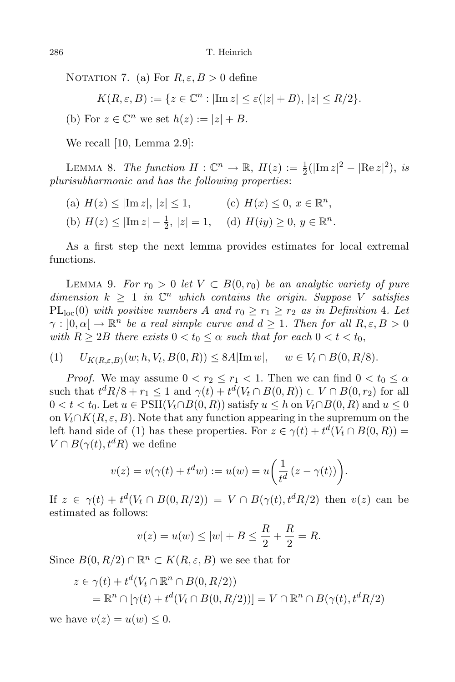NOTATION 7. (a) For  $R, \varepsilon, B > 0$  define

$$
K(R, \varepsilon, B) := \{ z \in \mathbb{C}^n : |\text{Im } z| \le \varepsilon(|z| + B), |z| \le R/2 \}.
$$

(b) For  $z \in \mathbb{C}^n$  we set  $h(z) := |z| + B$ .

We recall [10, Lemma 2.9]:

LEMMA 8. The function  $H: \mathbb{C}^n \to \mathbb{R}, H(z) := \frac{1}{2}(|\text{Im } z|^2 - |\text{Re } z|^2), \text{ is}$ plurisubharmonic and has the following properties:

- (a)  $H(z) \leq |\text{Im } z|, |z| \leq 1,$ n ,
- (b)  $H(z) \le |\text{Im } z| \frac{1}{2}, |z| = 1, \quad \text{(d)}$   $H(iy) \ge 0, y \in \mathbb{R}^n$ .

As a first step the next lemma provides estimates for local extremal functions.

LEMMA 9. For  $r_0 > 0$  let  $V \subset B(0,r_0)$  be an analytic variety of pure dimension  $k \geq 1$  in  $\mathbb{C}^n$  which contains the origin. Suppose V satisfies  $PL<sub>loc</sub>(0)$  with positive numbers A and  $r_0 \geq r_1 \geq r_2$  as in Definition 4. Let  $\gamma : [0, \alpha] \to \mathbb{R}^n$  be a real simple curve and  $d \geq 1$ . Then for all  $R, \varepsilon, B > 0$ with  $R \geq 2B$  there exists  $0 < t_0 \leq \alpha$  such that for each  $0 < t < t_0$ ,

(1) 
$$
U_{K(R,\varepsilon,B)}(w;h,V_t,B(0,R)) \leq 8A|\text{Im }w|, \quad w \in V_t \cap B(0,R/8).
$$

*Proof.* We may assume  $0 < r_2 \le r_1 < 1$ . Then we can find  $0 < t_0 \le \alpha$ such that  $t^d R/8 + r_1 \leq 1$  and  $\gamma(t) + t^d(V_t \cap B(0, R)) \subset V \cap B(0, r_2)$  for all  $0 < t < t_0$ . Let  $u \in \text{PSH}(V_t \cap B(0,R))$  satisfy  $u \leq h$  on  $V_t \cap B(0,R)$  and  $u \leq 0$ on  $V_t \cap K(R, \varepsilon, B)$ . Note that any function appearing in the supremum on the left hand side of (1) has these properties. For  $z \in \gamma(t) + t^d(V_t \cap B(0, R)) =$  $V \cap B(\gamma(t), t^d R)$  we define

$$
v(z) = v(\gamma(t) + t^d w) := u(w) = u\left(\frac{1}{t^d} (z - \gamma(t))\right).
$$

If  $z \in \gamma(t) + t^d(V_t \cap B(0,R/2)) = V \cap B(\gamma(t), t^d R/2)$  then  $v(z)$  can be estimated as follows:

$$
v(z) = u(w) \le |w| + B \le \frac{R}{2} + \frac{R}{2} = R.
$$

Since  $B(0, R/2) \cap \mathbb{R}^n \subset K(R, \varepsilon, B)$  we see that for

$$
z \in \gamma(t) + t^d(V_t \cap \mathbb{R}^n \cap B(0, R/2))
$$
  
=  $\mathbb{R}^n \cap [\gamma(t) + t^d(V_t \cap B(0, R/2))] = V \cap \mathbb{R}^n \cap B(\gamma(t), t^d R/2)$ 

we have  $v(z) = u(w) \leq 0$ .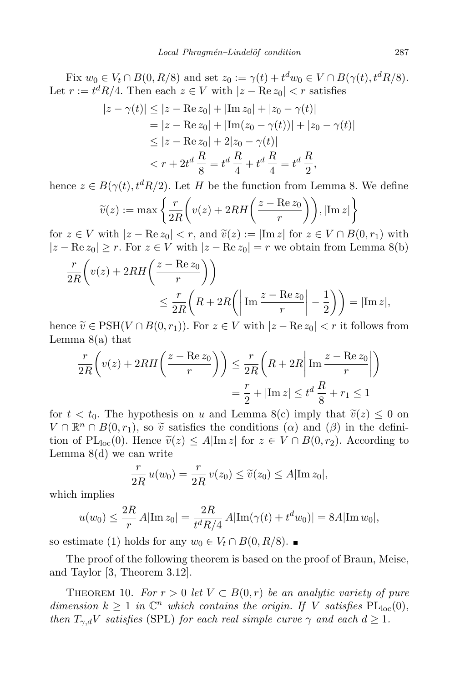Fix  $w_0 \in V_t \cap B(0, R/8)$  and set  $z_0 := \gamma(t) + t^d w_0 \in V \cap B(\gamma(t), t^d R/8)$ . Let  $r := t^d R/4$ . Then each  $z \in V$  with  $|z - \text{Re } z_0| < r$  satisfies

$$
|z - \gamma(t)| \le |z - \text{Re } z_0| + |\text{Im } z_0| + |z_0 - \gamma(t)|
$$
  
= |z - \text{Re } z\_0| + |\text{Im}(z\_0 - \gamma(t))| + |z\_0 - \gamma(t)|  
< \le |z - \text{Re } z\_0| + 2|z\_0 - \gamma(t)|  
< r + 2t^d \frac{R}{8} = t^d \frac{R}{4} + t^d \frac{R}{4} = t^d \frac{R}{2},

hence  $z \in B(\gamma(t), t^d R/2)$ . Let H be the function from Lemma 8. We define

$$
\widetilde{v}(z) := \max \left\{ \frac{r}{2R} \left( v(z) + 2RH\left(\frac{z - \text{Re } z_0}{r}\right) \right), |\text{Im } z| \right\}
$$

for  $z \in V$  with  $|z - \text{Re } z_0| < r$ , and  $\tilde{v}(z) := |\text{Im } z|$  for  $z \in V \cap B(0, r_1)$  with  $|z - \text{Re } z_0| \ge r$ . For  $z \in V$  with  $|z - \text{Re } z_0| = r$  we obtain from Lemma 8(b)

$$
\frac{r}{2R} \left( v(z) + 2RH\left(\frac{z - \text{Re } z_0}{r} \right) \right)
$$
  
\n
$$
\leq \frac{r}{2R} \left( R + 2R\left( \left| \text{Im } \frac{z - \text{Re } z_0}{r} \right| - \frac{1}{2} \right) \right) = |\text{Im } z|,
$$
  
\n
$$
\approx \varepsilon \text{ DSTU}(V \cap P(0, \dots)) \cdot \Gamma \quad \text{or} \quad \Gamma \text{ with } \Gamma \text{ is the initial condition.}
$$

hence  $\widetilde{v} \in \mathrm{PSH}(V \cap B(0,r_1))$ . For  $z \in V$  with  $|z - \mathrm{Re} z_0| < r$  it follows from Lemma  $8(a)$  that

$$
\frac{r}{2R}\left(v(z) + 2RH\left(\frac{z - \text{Re } z_0}{r}\right)\right) \le \frac{r}{2R}\left(R + 2R\middle|\text{Im }\frac{z - \text{Re } z_0}{r}\right)\right)
$$

$$
= \frac{r}{2} + |\text{Im } z| \le t^d \frac{R}{8} + r_1 \le 1
$$

for  $t < t_0$ . The hypothesis on u and Lemma 8(c) imply that  $\tilde{v}(z) \leq 0$  on  $V \cap \mathbb{R}^n \cap B(0,r_1)$ , so  $\tilde{v}$  satisfies the conditions  $(\alpha)$  and  $(\beta)$  in the definition of  $\mathbb{R}^n$ tion of PL<sub>loc</sub>(0). Hence  $\tilde{v}(z) \leq A|\text{Im } z|$  for  $z \in V \cap B(0,r_2)$ . According to Lemma 8(d) we can write

$$
\frac{r}{2R}u(w_0) = \frac{r}{2R}v(z_0) \le \tilde{v}(z_0) \le A|\text{Im } z_0|,
$$

which implies

$$
u(w_0) \le \frac{2R}{r} A|\text{Im}\, z_0| = \frac{2R}{t^d R/4} A|\text{Im}(\gamma(t) + t^d w_0)| = 8A|\text{Im}\, w_0|,
$$

so estimate (1) holds for any  $w_0 \in V_t \cap B(0, R/8)$ . ■

The proof of the following theorem is based on the proof of Braun, Meise, and Taylor [3, Theorem 3.12].

THEOREM 10. For  $r > 0$  let  $V \subset B(0,r)$  be an analytic variety of pure dimension  $k \geq 1$  in  $\mathbb{C}^n$  which contains the origin. If V satisfies  $PL_{loc}(0)$ , then  $T_{\gamma,d}V$  satisfies (SPL) for each real simple curve  $\gamma$  and each  $d \geq 1$ .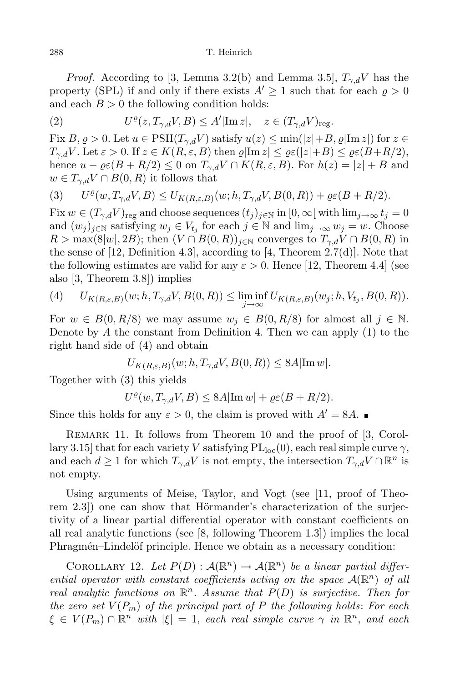*Proof.* According to [3, Lemma 3.2(b) and Lemma 3.5],  $T_{\gamma,d}V$  has the property (SPL) if and only if there exists  $A' \geq 1$  such that for each  $\rho > 0$ and each  $B > 0$  the following condition holds:

(2) 
$$
U^{\varrho}(z,T_{\gamma,d}V,B) \leq A'|\text{Im }z|, \quad z \in (T_{\gamma,d}V)_{\text{reg}}.
$$

Fix  $B, \varrho > 0$ . Let  $u \in \text{PSH}(T_{\gamma,d}V)$  satisfy  $u(z) \le \min(|z| + B, \varrho |\text{Im } z|)$  for  $z \in$  $T_{\gamma,d}V$ . Let  $\varepsilon > 0$ . If  $z \in K(R,\varepsilon,B)$  then  $\varrho |\text{Im } z| \leq \varrho \varepsilon (|z|+B) \leq \varrho \varepsilon (B+R/2),$ hence  $u - \varrho \varepsilon (B + R/2) \leq 0$  on  $T_{\gamma,d} V \cap K(R, \varepsilon, B)$ . For  $h(z) = |z| + B$  and  $w \in T_{\gamma,d}V \cap B(0,R)$  it follows that

(3) 
$$
U^{\varrho}(w,T_{\gamma,d}V,B) \leq U_{K(R,\varepsilon,B)}(w;h,T_{\gamma,d}V,B(0,R)) + \varrho \varepsilon (B+R/2).
$$

Fix  $w \in (T_{\gamma,d}V)_{\text{reg}}$  and choose sequences  $(t_j)_{j\in\mathbb{N}}$  in  $[0,\infty[$  with  $\lim_{j\to\infty} t_j=0$ and  $(w_j)_{j\in\mathbb{N}}$  satisfying  $w_j \in V_{t_j}$  for each  $j \in \mathbb{N}$  and  $\lim_{j\to\infty} w_j = w$ . Choose  $R > \max(8|w|, 2B)$ ; then  $(V \cap B(0,R))_{i \in \mathbb{N}}$  converges to  $T_{\gamma,d}V \cap B(0,R)$  in the sense of  $[12, \text{Definition } 4.3]$ , according to  $[4, \text{Theorem } 2.7(d)]$ . Note that the following estimates are valid for any  $\varepsilon > 0$ . Hence [12, Theorem 4.4] (see also [3, Theorem 3.8]) implies

(4) 
$$
U_{K(R,\varepsilon,B)}(w;h,T_{\gamma,d}V,B(0,R)) \leq \liminf_{j \to \infty} U_{K(R,\varepsilon,B)}(w_j;h,V_{t_j},B(0,R)).
$$

For  $w \in B(0, R/8)$  we may assume  $w_j \in B(0, R/8)$  for almost all  $j \in \mathbb{N}$ . Denote by  $A$  the constant from Definition 4. Then we can apply  $(1)$  to the right hand side of (4) and obtain

$$
U_{K(R,\varepsilon,B)}(w;h,T_{\gamma,d}V,B(0,R)) \leq 8A|\text{Im }w|.
$$

Together with (3) this yields

$$
U^{\varrho}(w, T_{\gamma, d}V, B) \leq 8A|\text{Im } w| + \varrho \varepsilon (B + R/2).
$$

Since this holds for any  $\varepsilon > 0$ , the claim is proved with  $A' = 8A$ .

REMARK 11. It follows from Theorem 10 and the proof of [3, Corollary 3.15] that for each variety V satisfying  $PL_{loc}(0)$ , each real simple curve  $\gamma$ , and each  $d \geq 1$  for which  $T_{\gamma,d}V$  is not empty, the intersection  $T_{\gamma,d}V \cap \mathbb{R}^n$  is not empty.

Using arguments of Meise, Taylor, and Vogt (see [11, proof of Theorem  $2.3$ ) one can show that Hörmander's characterization of the surjectivity of a linear partial differential operator with constant coefficients on all real analytic functions (see [8, following Theorem 1.3]) implies the local Phragmén–Lindelöf principle. Hence we obtain as a necessary condition:

COROLLARY 12. Let  $P(D): \mathcal{A}(\mathbb{R}^n) \to \mathcal{A}(\mathbb{R}^n)$  be a linear partial differential operator with constant coefficients acting on the space  $\mathcal{A}(\mathbb{R}^n)$  of all real analytic functions on  $\mathbb{R}^n$ . Assume that  $P(D)$  is surjective. Then for the zero set  $V(P_m)$  of the principal part of P the following holds: For each  $\xi \in V(P_m) \cap \mathbb{R}^n$  with  $|\xi| = 1$ , each real simple curve  $\gamma$  in  $\mathbb{R}^n$ , and each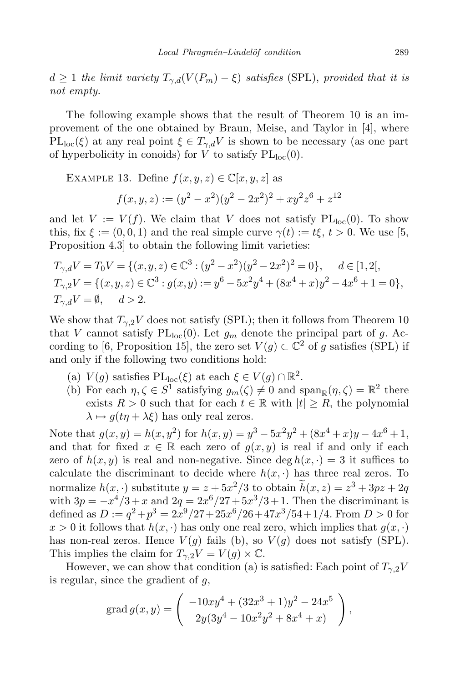$d \geq 1$  the limit variety  $T_{\gamma,d}(V(P_m) - \xi)$  satisfies (SPL), provided that it is not empty.

The following example shows that the result of Theorem 10 is an improvement of the one obtained by Braun, Meise, and Taylor in [4], where  $PL_{loc}(\xi)$  at any real point  $\xi \in T_{\gamma,d}V$  is shown to be necessary (as one part of hyperbolicity in conoids) for V to satisfy  $PL<sub>loc</sub>(0)$ .

EXAMPLE 13. Define  $f(x, y, z) \in \mathbb{C}[x, y, z]$  as

$$
f(x, y, z) := (y^2 - x^2)(y^2 - 2x^2)^2 + xy^2z^6 + z^{12}
$$

and let  $V := V(f)$ . We claim that V does not satisfy  $PL_{loc}(0)$ . To show this, fix  $\xi := (0, 0, 1)$  and the real simple curve  $\gamma(t) := t\xi, t > 0$ . We use [5, Proposition 4.3] to obtain the following limit varieties:

$$
T_{\gamma,d}V = T_0V = \{(x,y,z) \in \mathbb{C}^3 : (y^2 - x^2)(y^2 - 2x^2)^2 = 0\}, \quad d \in [1,2[,
$$
  
\n
$$
T_{\gamma,2}V = \{(x,y,z) \in \mathbb{C}^3 : g(x,y) := y^6 - 5x^2y^4 + (8x^4 + x)y^2 - 4x^6 + 1 = 0\},
$$
  
\n
$$
T_{\gamma,d}V = \emptyset, \quad d > 2.
$$

We show that  $T_{\gamma,2}V$  does not satisfy (SPL); then it follows from Theorem 10 that V cannot satisfy  $PL<sub>loc</sub>(0)$ . Let  $g<sub>m</sub>$  denote the principal part of g. According to [6, Proposition 15], the zero set  $V(g) \subset \mathbb{C}^2$  of g satisfies (SPL) if and only if the following two conditions hold:

- (a)  $V(g)$  satisfies  $PL_{loc}(\xi)$  at each  $\xi \in V(g) \cap \mathbb{R}^2$ .
- (b) For each  $\eta, \zeta \in S^1$  satisfying  $g_m(\zeta) \neq 0$  and  $\text{span}_{\mathbb{R}}(\eta, \zeta) = \mathbb{R}^2$  there exists  $R > 0$  such that for each  $t \in \mathbb{R}$  with  $|t| \geq R$ , the polynomial  $\lambda \mapsto q(t\eta + \lambda \xi)$  has only real zeros.

Note that  $g(x, y) = h(x, y^2)$  for  $h(x, y) = y^3 - 5x^2y^2 + (8x^4 + x)y - 4x^6 + 1$ , and that for fixed  $x \in \mathbb{R}$  each zero of  $g(x, y)$  is real if and only if each zero of  $h(x, y)$  is real and non-negative. Since deg  $h(x, \cdot) = 3$  it suffices to calculate the discriminant to decide where  $h(x, \cdot)$  has three real zeros. To normalize  $h(x, \cdot)$  substitute  $y = z + 5x^2/3$  to obtain  $h(x, z) = z^3 + 3pz + 2q$ with  $3p = -x^4/3 + x$  and  $2q = 2x^6/27 + 5x^3/3 + 1$ . Then the discriminant is defined as  $D := q^2 + p^3 = 2x^9/27 + 25x^6/26 + 47x^3/54 + 1/4$ . From  $D > 0$  for  $x > 0$  it follows that  $h(x, \cdot)$  has only one real zero, which implies that  $g(x, \cdot)$ has non-real zeros. Hence  $V(g)$  fails (b), so  $V(g)$  does not satisfy (SPL). This implies the claim for  $T_{\gamma,2}V = V(g) \times \mathbb{C}$ .

However, we can show that condition (a) is satisfied: Each point of  $T_{\gamma,2}V$ is regular, since the gradient of  $q$ ,

grad 
$$
g(x, y) = \begin{pmatrix} -10xy^4 + (32x^3 + 1)y^2 - 24x^5 \\ 2y(3y^4 - 10x^2y^2 + 8x^4 + x) \end{pmatrix}
$$
,